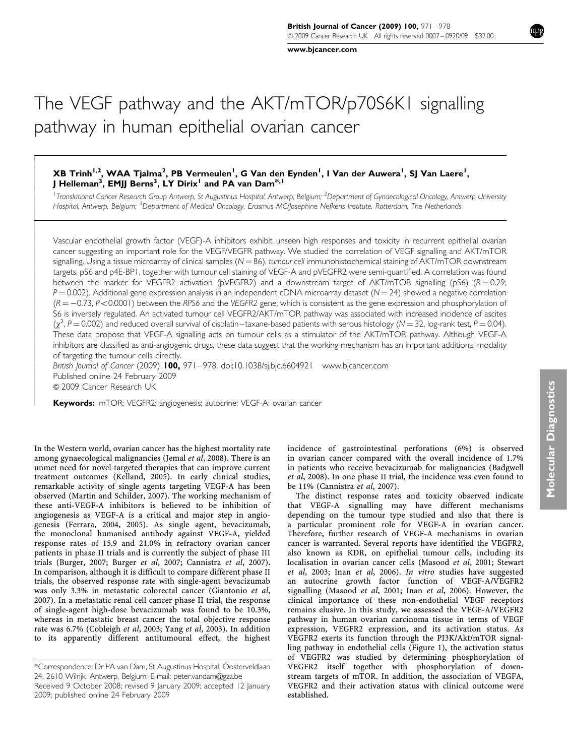[www.bjcancer.com](http://www.bjcancer.com)

# The VEGF pathway and the AKT/mTOR/p70S6K1 signalling pathway in human epithelial ovarian cancer

# XB Trinh<sup>1,2</sup>, WAA Tjalma<sup>2</sup>, PB Vermeulen<sup>1</sup>, G Van den Eynden<sup>1</sup>, I Van der Auwera<sup>1</sup>, SJ Van Laere<sup>1</sup>, J Helleman<sup>3</sup>, EMJJ Berns<sup>3</sup>, LY Dirix<sup>1</sup> and PA van Dam<sup>\*, I</sup>

<sup>1</sup> Translational Cancer Research Group Antwerp, St Augustinus Hospital, Antwerp, Belgium; <sup>2</sup> Department of Gynaecological Oncology, Antwerp University Hospital, Antwerp, Belgium; <sup>3</sup>Department of Medical Oncology, Erasmus MC/Josephine Nefkens Institute, Rotterdam, The Netherlands

Vascular endothelial growth factor (VEGF)-A inhibitors exhibit unseen high responses and toxicity in recurrent epithelial ovarian cancer suggesting an important role for the VEGF/VEGFR pathway. We studied the correlation of VEGF signalling and AKT/mTOR signalling. Using a tissue microarray of clinical samples ( $N = 86$ ), tumour cell immunohistochemical staining of AKT/mTOR downstream targets, pS6 and p4E-BP1, together with tumour cell staining of VEGF-A and pVEGFR2 were semi-quantified. A correlation was found between the marker for VEGFR2 activation (pVEGFR2) and a downstream target of AKT/mTOR signalling (pS6) ( $R = 0.29$ ;  $P = 0.002$ ). Additional gene expression analysis in an independent cDNA microarray dataset (N = 24) showed a negative correlation  $(R = -0.73, P < 0.0001)$  between the RPS6 and the VEGFR2 gene, which is consistent as the gene expression and phosphorylation of S6 is inversely regulated. An activated tumour cell VEGFR2/AKT/mTOR pathway was associated with increased incidence of ascites  $(\chi^2$ , P = 0.002) and reduced overall survival of cisplatin–taxane-based patients with serous histology (N = 32, log-rank test, P = 0.04). These data propose that VEGF-A signalling acts on tumour cells as a stimulator of the AKT/mTOR pathway. Although VEGF-A inhibitors are classified as anti-angiogenic drugs, these data suggest that the working mechanism has an important additional modality of targeting the tumour cells directly.

British Journal of Cancer (2009) 100, 971–978. doi[:10.1038/sj.bjc.6604921](http://dx.doi.org/10.1038/sj.bjc.6604921) [www.bjcancer.com](http://www.bjcancer.com) Published online 24 February 2009 & 2009 Cancer Research UK

Keywords: mTOR; VEGFR2; angiogenesis; autocrine; VEGF-A; ovarian cancer

In the Western world, ovarian cancer has the highest mortality rate among gynaecological malignancies (Jemal et al[, 2008\)](#page-7-0). There is an unmet need for novel targeted therapies that can improve current treatment outcomes [\(Kelland, 2005](#page-7-0)). In early clinical studies, remarkable activity of single agents targeting VEGF-A has been observed [\(Martin and Schilder, 2007\)](#page-7-0). The working mechanism of these anti-VEGF-A inhibitors is believed to be inhibition of angiogenesis as VEGF-A is a critical and major step in angiogenesis ([Ferrara, 2004, 2005](#page-7-0)). As single agent, bevacizumab, the monoclonal humanised antibody against VEGF-A, yielded response rates of 15.9 and 21.0% in refractory ovarian cancer patients in phase II trials and is currently the subject of phase III trials [\(Burger, 2007](#page-6-0); [Burger](#page-6-0) et al, 2007; [Cannistra](#page-6-0) et al, 2007). In comparison, although it is difficult to compare different phase II trials, the observed response rate with single-agent bevacizumab was only 3.3% in metastatic colorectal cancer [\(Giantonio](#page-7-0) et al, [2007](#page-7-0)). In a metastatic renal cell cancer phase II trial, the response of single-agent high-dose bevacizumab was found to be 10.3%, whereas in metastatic breast cancer the total objective response rate was 6.7% ([Cobleigh](#page-7-0) et al, 2003; Yang et al[, 2003\)](#page-7-0). In addition to its apparently different antitumoural effect, the highest

 $\overline{1}$  $\overline{1}$  $\bigg\}$  $\bigg\}$  $\overline{\phantom{a}}$  $\overline{\phantom{a}}$  $\overline{\phantom{a}}$  $\bigg\}$  $\bigg\}$  $\overline{\phantom{a}}$  $\overline{\phantom{a}}$  $\overline{\phantom{a}}$ ļ ľ  $\bigg\}$  $\overline{\phantom{a}}$  $\overline{\phantom{a}}$  $\overline{\phantom{a}}$  $\overline{\phantom{a}}$  $\bigg\}$  $\bigg\}$  $\overline{\phantom{a}}$  $\overline{\phantom{a}}$  $\overline{\phantom{a}}$  $\bigg\}$  $\bigg\}$  $\overline{\phantom{a}}$  $\overline{\phantom{a}}$  $\overline{\phantom{a}}$  $\overline{\phantom{a}}$  $\bigg\}$  $\bigg\}$  $\overline{\phantom{a}}$  $\overline{\phantom{a}}$  $\overline{\phantom{a}}$  $\bigg\}$  $\bigg\}$  $\overline{\phantom{a}}$  $\overline{\phantom{a}}$  $\overline{\phantom{a}}$  $\overline{\phantom{a}}$  $\overline{\phantom{a}}$  $\overline{\phantom{a}}$  $\overline{\phantom{a}}$  $\overline{\phantom{a}}$  $\overline{\phantom{a}}$  $\overline{\phantom{a}}$  $\overline{\phantom{a}}$  $\overline{\phantom{a}}$ 

incidence of gastrointestinal perforations (6%) is observed in ovarian cancer compared with the overall incidence of 1.7% in patients who receive bevacizumab for malignancies ([Badgwell](#page-6-0) et al[, 2008](#page-6-0)). In one phase II trial, the incidence was even found to be 11% ([Cannistra](#page-6-0) et al, 2007).

The distinct response rates and toxicity observed indicate that VEGF-A signalling may have different mechanisms depending on the tumour type studied and also that there is a particular prominent role for VEGF-A in ovarian cancer. Therefore, further research of VEGF-A mechanisms in ovarian cancer is warranted. Several reports have identified the VEGFR2, also known as KDR, on epithelial tumour cells, including its localisation in ovarian cancer cells [\(Masood](#page-7-0) et al, 2001; [Stewart](#page-7-0) et al[, 2003](#page-7-0); Inan et al[, 2006\)](#page-7-0). In vitro studies have suggested an autocrine growth factor function of VEGF-A/VEGFR2 signalling [\(Masood](#page-7-0) et al, 2001; Inan et al[, 2006](#page-7-0)). However, the clinical importance of these non-endothelial VEGF receptors remains elusive. In this study, we assessed the VEGF-A/VEGFR2 pathway in human ovarian carcinoma tissue in terms of VEGF expression, VEGFR2 expression, and its activation status. As VEGFR2 exerts its function through the PI3K/Akt/mTOR signalling pathway in endothelial cells ([Figure 1](#page-1-0)), the activation status of VEGFR2 was studied by determining phosphorylation of VEGFR2 itself together with phosphorylation of downstream targets of mTOR. In addition, the association of VEGFA, VEGFR2 and their activation status with clinical outcome were established.

Received 9 October 2008; revised 9 January 2009; accepted 12 January 2009; published online 24 February 2009 \*Correspondence: Dr PA van Dam, St Augustinus Hospital, Oosterveldlaan 24, 2610 Wilrijk, Antwerp, Belgium; E-mail: [peter.vandam@gza.be](mailto:peter.vandam@gza.be)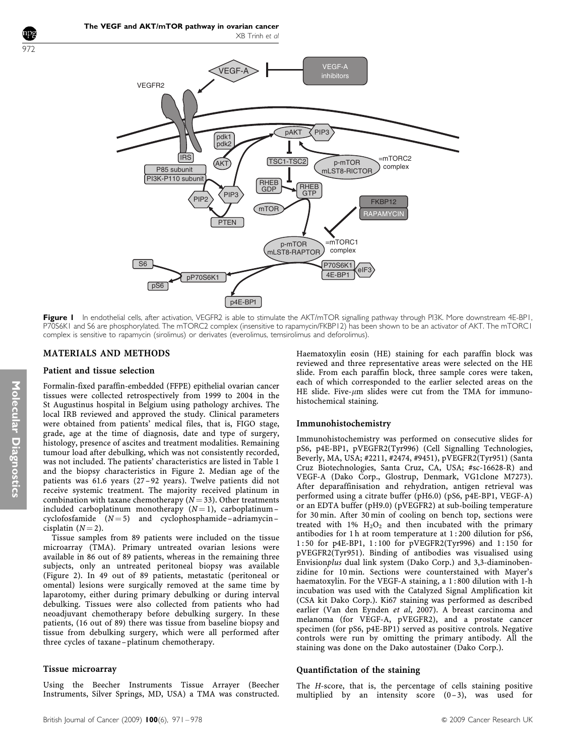<span id="page-1-0"></span>972



Figure I In endothelial cells, after activation, VEGFR2 is able to stimulate the AKT/mTOR signalling pathway through PI3K. More downstream 4E-BPI, P70S6K1 and S6 are phosphorylated. The mTORC2 complex (insensitive to rapamycin/FKBP12) has been shown to be an activator of AKT. The mTORC1 complex is sensitive to rapamycin (sirolimus) or derivates (everolimus, temsirolimus and deforolimus).

# MATERIALS AND METHODS

## Patient and tissue selection

Formalin-fixed paraffin-embedded (FFPE) epithelial ovarian cancer tissues were collected retrospectively from 1999 to 2004 in the St Augustinus hospital in Belgium using pathology archives. The local IRB reviewed and approved the study. Clinical parameters were obtained from patients' medical files, that is, FIGO stage, grade, age at the time of diagnosis, date and type of surgery, histology, presence of ascites and treatment modalities. Remaining tumour load after debulking, which was not consistently recorded, was not included. The patients' characteristics are listed in [Table 1](#page-2-0) and the biopsy characteristics in [Figure 2.](#page-2-0) Median age of the patients was 61.6 years (27–92 years). Twelve patients did not receive systemic treatment. The majority received platinum in combination with taxane chemotherapy ( $N = 33$ ). Other treatments included carboplatinum monotherapy  $(N=1)$ , carboplatinumcyclofosfamide  $(N=5)$  and cyclophosphamide-adriamycincisplatin  $(N = 2)$ .

Tissue samples from 89 patients were included on the tissue microarray (TMA). Primary untreated ovarian lesions were available in 86 out of 89 patients, whereas in the remaining three subjects, only an untreated peritoneal biopsy was available ([Figure 2](#page-2-0)). In 49 out of 89 patients, metastatic (peritoneal or omental) lesions were surgically removed at the same time by laparotomy, either during primary debulking or during interval debulking. Tissues were also collected from patients who had neoadjuvant chemotherapy before debulking surgery. In these patients, (16 out of 89) there was tissue from baseline biopsy and tissue from debulking surgery, which were all performed after three cycles of taxane–platinum chemotherapy.

### Tissue microarray

Using the Beecher Instruments Tissue Arrayer (Beecher Instruments, Silver Springs, MD, USA) a TMA was constructed. Haematoxylin eosin (HE) staining for each paraffin block was reviewed and three representative areas were selected on the HE slide. From each paraffin block, three sample cores were taken, each of which corresponded to the earlier selected areas on the HE slide. Five- $\mu$ m slides were cut from the TMA for immunohistochemical staining.

### Immunohistochemistry

Immunohistochemistry was performed on consecutive slides for pS6, p4E-BP1, pVEGFR2(Tyr996) (Cell Signalling Technologies, Beverly, MA, USA; #2211, #2474, #9451), pVEGFR2(Tyr951) (Santa Cruz Biotechnologies, Santa Cruz, CA, USA; #sc-16628-R) and VEGF-A (Dako Corp., Glostrup, Denmark, VG1clone M7273). After deparaffinisation and rehydration, antigen retrieval was performed using a citrate buffer (pH6.0) (pS6, p4E-BP1, VEGF-A) or an EDTA buffer (pH9.0) (pVEGFR2) at sub-boiling temperature for 30 min. After 30 min of cooling on bench top, sections were treated with 1%  $H_2O_2$  and then incubated with the primary antibodies for 1 h at room temperature at 1 : 200 dilution for pS6, 1 : 50 for p4E-BP1, 1 : 100 for pVEGFR2(Tyr996) and 1 : 150 for pVEGFR2(Tyr951). Binding of antibodies was visualised using Envisionplus dual link system (Dako Corp.) and 3,3-diaminobenzidine for 10 min. Sections were counterstained with Mayer's haematoxylin. For the VEGF-A staining, a 1 : 800 dilution with 1-h incubation was used with the Catalyzed Signal Amplification kit (CSA kit Dako Corp.). Ki67 staining was performed as described earlier ([Van den Eynden](#page-7-0) et al, 2007). A breast carcinoma and melanoma (for VEGF-A, pVEGFR2), and a prostate cancer specimen (for pS6, p4E-BP1) served as positive controls. Negative controls were run by omitting the primary antibody. All the staining was done on the Dako autostainer (Dako Corp.).

# Quantifictation of the staining

The H-score, that is, the percentage of cells staining positive multiplied by an intensity score (0–3), was used for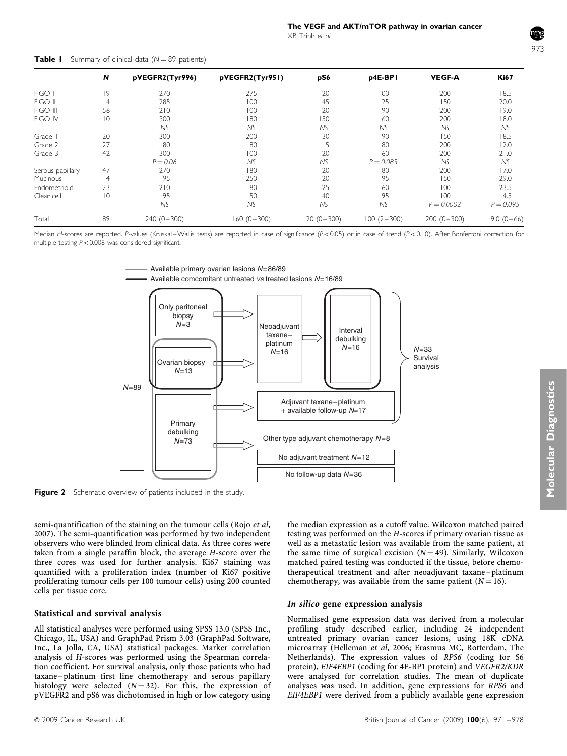# <span id="page-2-0"></span>**Table I** Summary of clinical data ( $N = 89$  patients)

|                  | N              | pVEGFR2(Tyr996) | pVEGFR2(Tyr951) | pS6         | p4E-BPI      | <b>VEGF-A</b> | <b>Ki67</b>  |
|------------------|----------------|-----------------|-----------------|-------------|--------------|---------------|--------------|
| <b>FIGO</b>      | 19             | 270             | 275             | 20          | 100          | 200           | 18.5         |
| FIGO II          | 4              | 285             | 100             | 45          | 125          | 150           | 20.0         |
| FIGO III         | 56             | 210             | 100             | 20          | 90           | 200           | 19.0         |
| FIGO IV          | $\overline{0}$ | 300             | 180             | 150         | 160          | 200           | 18.0         |
|                  |                | NS              | <b>NS</b>       | <b>NS</b>   | <b>NS</b>    | NS.           | <b>NS</b>    |
| Grade            | 20             | 300             | 200             | 30          | 90           | 150           | 18.5         |
| Grade 2          | 27             | 180             | 80              | 15          | 80           | 200           | 12.0         |
| Grade 3          | 42             | 300             | 100             | 20          | 160          | 200           | 21.0         |
|                  |                | $P = 0.06$      | <b>NS</b>       | <b>NS</b>   | $P = 0.085$  | NS.           | NS           |
| Serous papillary | 47             | 270             | 180             | 20          | 80           | 200           | 17.0         |
| Mucinous         | 4              | 195             | 250             | 20          | 95           | 150           | 29.0         |
| Endometrioid     | 23             | 210             | 80              | 25          | 160          | 100           | 23.5         |
| Clear cell       | $ 0\rangle$    | 195             | 50              | 40          | 95           | 100           | 4.5          |
|                  |                | <b>NS</b>       | <b>NS</b>       | <b>NS</b>   | <b>NS</b>    | $P = 0.0002$  | $P = 0.095$  |
| Total            | 89             | $240(0 - 300)$  | $160(0 - 300)$  | $20(0-300)$ | $100(2-300)$ | $200(0-300)$  | $19.0(0-66)$ |
|                  |                |                 |                 |             |              |               |              |

Median H-scores are reported. P-values (Kruskal-Wallis tests) are reported in case of significance  $(P<0.05)$  or in case of trend  $(P<0.10)$ . After Bonferroni correction for multiple testing  $P < 0.008$  was considered significant.



Figure 2 Schematic overview of patients included in the study.

semi-quantification of the staining on the tumour cells ([Rojo](#page-7-0) et al, [2007](#page-7-0)). The semi-quantification was performed by two independent observers who were blinded from clinical data. As three cores were taken from a single paraffin block, the average H-score over the three cores was used for further analysis. Ki67 staining was quantified with a proliferation index (number of Ki67 positive proliferating tumour cells per 100 tumour cells) using 200 counted cells per tissue core.

# Statistical and survival analysis

All statistical analyses were performed using SPSS 13.0 (SPSS Inc., Chicago, IL, USA) and GraphPad Prism 3.03 (GraphPad Software, Inc., La Jolla, CA, USA) statistical packages. Marker correlation analysis of H-scores was performed using the Spearman correlation coefficient. For survival analysis, only those patients who had taxane– platinum first line chemotherapy and serous papillary histology were selected  $(N = 32)$ . For this, the expression of pVEGFR2 and pS6 was dichotomised in high or low category using the median expression as a cutoff value. Wilcoxon matched paired testing was performed on the H-scores if primary ovarian tissue as well as a metastatic lesion was available from the same patient, at the same time of surgical excision  $(N = 49)$ . Similarly, Wilcoxon matched paired testing was conducted if the tissue, before chemotherapeutical treatment and after neoadjuvant taxane–platinum chemotherapy, was available from the same patient  $(N = 16)$ .

# In silico gene expression analysis

Normalised gene expression data was derived from a molecular profiling study described earlier, including 24 independent untreated primary ovarian cancer lesions, using 18K cDNA microarray [\(Helleman](#page-7-0) et al, 2006; Erasmus MC, Rotterdam, The Netherlands). The expression values of RPS6 (coding for S6 protein), EIF4EBP1 (coding for 4E-BP1 protein) and VEGFR2/KDR were analysed for correlation studies. The mean of duplicate analyses was used. In addition, gene expressions for RPS6 and EIF4EBP1 were derived from a publicly available gene expression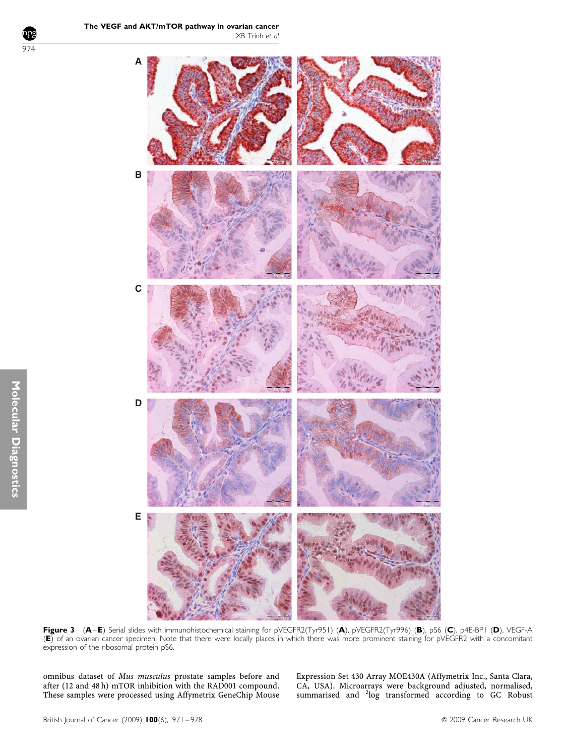<span id="page-3-0"></span>

Figure 3 (A–E) Serial slides with immunohistochemical staining for pVEGFR2(Tyr951) (A), pVEGFR2(Tyr996) (B), pS6 (C), p4E-BP1 (D), VEGF-A (E) of an ovarian cancer specimen. Note that there were locally places in which there was more prominent staining for pVEGFR2 with a concomitant expression of the ribosomal protein pS6.

omnibus dataset of Mus musculus prostate samples before and after (12 and 48 h) mTOR inhibition with the RAD001 compound. These samples were processed using Affymetrix GeneChip Mouse

Expression Set 430 Array MOE430A (Affymetrix Inc., Santa Clara, CA, USA). Microarrays were background adjusted, normalised, summarised and <sup>2</sup>log transformed according to GC Robust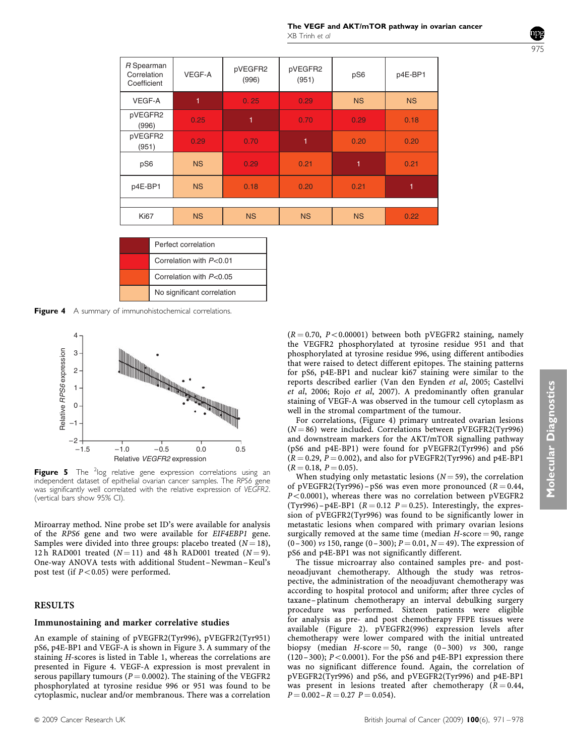<span id="page-4-0"></span>

| R Spearman<br>Correlation<br>Coefficient | VEGF-A    | pVEGFR2<br>(996) | pVEGFR2<br>(951) | pS6       | p4E-BP1   |  |
|------------------------------------------|-----------|------------------|------------------|-----------|-----------|--|
|                                          |           |                  |                  |           |           |  |
| <b>VEGF-A</b>                            | 1         | 0.25             | 0.29             | <b>NS</b> | <b>NS</b> |  |
| pVEGFR2<br>(996)                         | 0.25      | 1                | 0.70             | 0.29      | 0.18      |  |
| pVEGFR2<br>(951)                         | 0.29      | 0.70             | 1                | 0.20      | 0.20      |  |
| pS6                                      | <b>NS</b> | 0.29             | 0.21             | 1         | 0.21      |  |
| p4E-BP1                                  | <b>NS</b> | 0.18             | 0.20             | 0.21      | T         |  |
|                                          |           |                  |                  |           |           |  |
| <b>Ki67</b>                              | <b>NS</b> | <b>NS</b>        | <b>NS</b>        | <b>NS</b> | 0.22      |  |

| Perfect correlation        |  |
|----------------------------|--|
| Correlation with $P<0.01$  |  |
| Correlation with $P<0.05$  |  |
| No significant correlation |  |

Figure 4 A summary of immunohistochemical correlations.



Figure 5 The <sup>2</sup>log relative gene expression correlations using an independent dataset of epithelial ovarian cancer samples. The RPS6 gene was significantly well correlated with the relative expression of VEGFR2. (vertical bars show 95% CI).

Miroarray method. Nine probe set ID's were available for analysis of the RPS6 gene and two were available for EIF4EBP1 gene. Samples were divided into three groups: placebo treated  $(N=18)$ , 12 h RAD001 treated ( $N = 11$ ) and 48 h RAD001 treated ( $N = 9$ ). One-way ANOVA tests with additional Student–Newman–Keul's post test (if  $P<0.05$ ) were performed.

# RESULTS

#### Immunostaining and marker correlative studies

An example of staining of pVEGFR2(Tyr996), pVEGFR2(Tyr951) pS6, p4E-BP1 and VEGF-A is shown in [Figure 3.](#page-3-0) A summary of the staining H-scores is listed in [Table 1,](#page-2-0) whereas the correlations are presented in Figure 4. VEGF-A expression is most prevalent in serous papillary tumours ( $P = 0.0002$ ). The staining of the VEGFR2 phosphorylated at tyrosine residue 996 or 951 was found to be cytoplasmic, nuclear and/or membranous. There was a correlation

 $(R = 0.70, P < 0.00001)$  between both pVEGFR2 staining, namely the VEGFR2 phosphorylated at tyrosine residue 951 and that phosphorylated at tyrosine residue 996, using different antibodies that were raised to detect different epitopes. The staining patterns for pS6, p4E-BP1 and nuclear ki67 staining were similar to the reports described earlier ([Van den Eynden](#page-7-0) et al, 2005; [Castellvi](#page-7-0) et al[, 2006;](#page-7-0) Rojo et al[, 2007\)](#page-7-0). A predominantly often granular staining of VEGF-A was observed in the tumour cell cytoplasm as well in the stromal compartment of the tumour.

For correlations, (Figure 4) primary untreated ovarian lesions  $(N = 86)$  were included. Correlations between pVEGFR2(Tyr996) and downstream markers for the AKT/mTOR signalling pathway (pS6 and p4E-BP1) were found for pVEGFR2(Tyr996) and pS6  $(R = 0.29, P = 0.002)$ , and also for pVEGFR2(Tyr996) and p4E-BP1  $(R = 0.18, P = 0.05).$ 

When studying only metastatic lesions  $(N = 59)$ , the correlation of pVEGFR2(Tyr996) – pS6 was even more pronounced  $(R = 0.44,$  $P < 0.0001$ ), whereas there was no correlation between pVEGFR2 (Tyr996)–p4E-BP1 ( $R = 0.12$   $P = 0.25$ ). Interestingly, the expression of pVEGFR2(Tyr996) was found to be significantly lower in metastatic lesions when compared with primary ovarian lesions surgically removed at the same time (median  $H\text{-score} = 90$ , range (0–300) vs 150, range (0–300);  $P = 0.01$ ,  $N = 49$ ). The expression of pS6 and p4E-BP1 was not significantly different.

The tissue microarray also contained samples pre- and postneoadjuvant chemotherapy. Although the study was retrospective, the administration of the neoadjuvant chemotherapy was according to hospital protocol and uniform; after three cycles of taxane– platinum chemotherapy an interval debulking surgery procedure was performed. Sixteen patients were eligible for analysis as pre- and post chemotherapy FFPE tissues were available [\(Figure 2\)](#page-2-0). pVEGFR2(996) expression levels after chemotherapy were lower compared with the initial untreated biopsy (median H-score = 50, range  $(0-300)$  vs 300, range (120–300);  $P < 0.0001$ ). For the pS6 and p4E-BP1 expression there was no significant difference found. Again, the correlation of pVEGFR2(Tyr996) and pS6, and pVEGFR2(Tyr996) and p4E-BP1 was present in lesions treated after chemotherapy  $(R = 0.44,$  $P = 0.002 - R = 0.27$   $P = 0.054$ .

975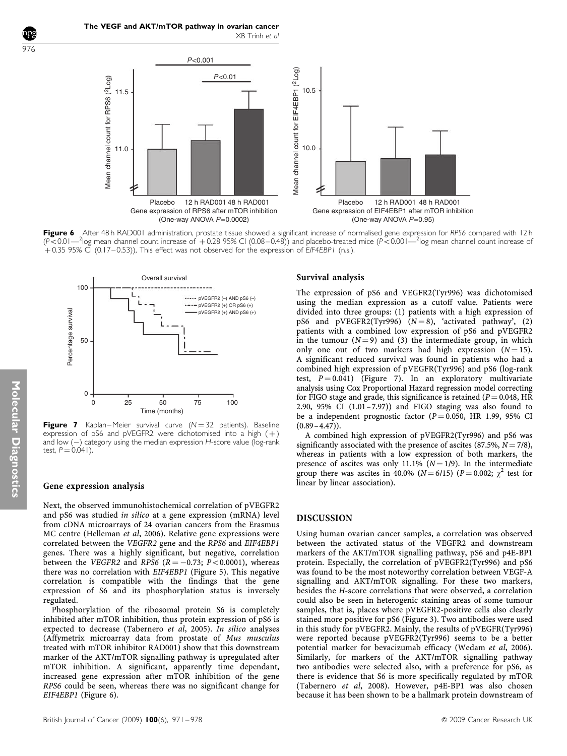



**Figure 6** After 48 h RAD001 administration, prostate tissue showed a significant increase of normalised gene expression for RPS6 compared with 12 h<br>(P<0.01—<sup>2</sup>log mean channel count increase of +0.28 95% CI (0.08–0.48)) a  $\hat{+}$  0.35 95% CI (0.17–0.53)), This effect was not observed for the expression of EIF4EBP1 (n.s.).



**Figure 7** Kaplan–Meier survival curve  $(N = 32$  patients). Baseline expression of pS6 and pVEGFR2 were dichotomised into a high  $(+)$ and low (-) category using the median expression H-score value (log-rank test,  $P = 0.041$ ).

# Gene expression analysis

Next, the observed immunohistochemical correlation of pVEGFR2 and pS6 was studied in silico at a gene expression (mRNA) level from cDNA microarrays of 24 ovarian cancers from the Erasmus MC centre ([Helleman](#page-7-0) et al, 2006). Relative gene expressions were correlated between the VEGFR2 gene and the RPS6 and EIF4EBP1 genes. There was a highly significant, but negative, correlation between the VEGFR2 and RPS6  $(R = -0.73; P < 0.0001)$ , whereas there was no correlation with EIF4EBP1 [\(Figure 5\)](#page-4-0). This negative correlation is compatible with the findings that the gene expression of S6 and its phosphorylation status is inversely regulated.

Phosphorylation of the ribosomal protein S6 is completely inhibited after mTOR inhibition, thus protein expression of pS6 is expected to decrease [\(Tabernero](#page-7-0) et al, 2005). In silico analyses (Affymetrix microarray data from prostate of Mus musculus treated with mTOR inhibitor RAD001) show that this downstream marker of the AKT/mTOR signalling pathway is upregulated after mTOR inhibition. A significant, apparently time dependant, increased gene expression after mTOR inhibition of the gene RPS6 could be seen, whereas there was no significant change for EIF4EBP1 (Figure 6).

#### Survival analysis

The expression of pS6 and VEGFR2(Tyr996) was dichotomised using the median expression as a cutoff value. Patients were divided into three groups: (1) patients with a high expression of pS6 and pVEGFR2(Tyr996)  $(N=8)$ , 'activated pathway', (2) patients with a combined low expression of pS6 and pVEGFR2 in the tumour  $(N=9)$  and (3) the intermediate group, in which only one out of two markers had high expression  $(N=15)$ . A significant reduced survival was found in patients who had a combined high expression of pVEGFR(Tyr996) and pS6 (log-rank test,  $P = 0.041$ ) (Figure 7). In an exploratory multivariate analysis using Cox Proportional Hazard regression model correcting for FIGO stage and grade, this significance is retained ( $P = 0.048$ , HR 2.90, 95% CI (1.01–7.97)) and FIGO staging was also found to be a independent prognostic factor ( $P = 0.050$ , HR 1.99, 95% CI  $(0.89 - 4.47)$ .

A combined high expression of pVEGFR2(Tyr996) and pS6 was significantly associated with the presence of ascites (87.5%,  $N = 7/8$ ), whereas in patients with a low expression of both markers, the presence of ascites was only 11.1% ( $N = 1/9$ ). In the intermediate group there was ascites in 40.0% ( $N = 6/15$ ) ( $P = 0.002$ ;  $\gamma^2$  test for linear by linear association).

### DISCUSSION

Using human ovarian cancer samples, a correlation was observed between the activated status of the VEGFR2 and downstream markers of the AKT/mTOR signalling pathway, pS6 and p4E-BP1 protein. Especially, the correlation of pVEGFR2(Tyr996) and pS6 was found to be the most noteworthy correlation between VEGF-A signalling and AKT/mTOR signalling. For these two markers, besides the H-score correlations that were observed, a correlation could also be seen in heterogenic staining areas of some tumour samples, that is, places where pVEGFR2-positive cells also clearly stained more positive for pS6 [\(Figure 3\)](#page-3-0). Two antibodies were used in this study for pVEGFR2. Mainly, the results of pVEGFR(Tyr996) were reported because pVEGFR2(Tyr996) seems to be a better potential marker for bevacizumab efficacy ([Wedam](#page-7-0) et al, 2006). Similarly, for markers of the AKT/mTOR signalling pathway two antibodies were selected also, with a preference for pS6, as there is evidence that S6 is more specifically regulated by mTOR ([Tabernero](#page-7-0) et al, 2008). However, p4E-BP1 was also chosen because it has been shown to be a hallmark protein downstream of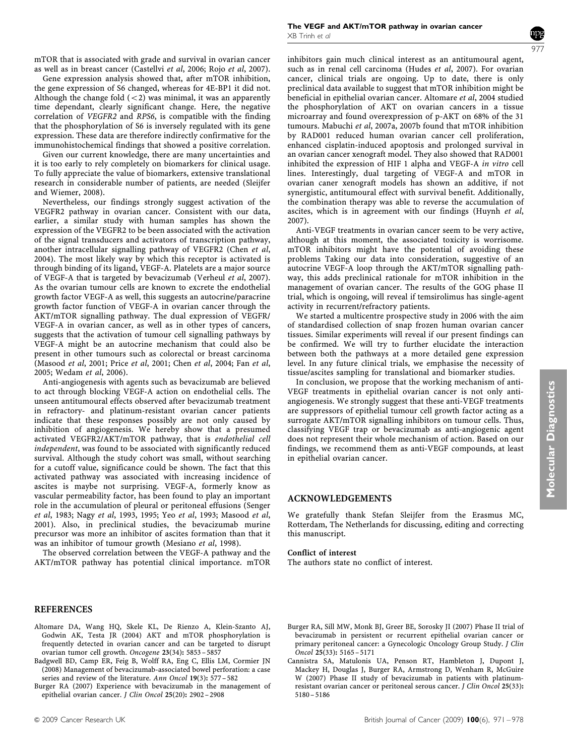<span id="page-6-0"></span>mTOR that is associated with grade and survival in ovarian cancer as well as in breast cancer ([Castellvi](#page-7-0) et al, 2006; Rojo et al[, 2007\)](#page-7-0).

Gene expression analysis showed that, after mTOR inhibition, the gene expression of S6 changed, whereas for 4E-BP1 it did not. Although the change fold  $(< 2)$  was minimal, it was an apparently time dependant, clearly significant change. Here, the negative correlation of VEGFR2 and RPS6, is compatible with the finding that the phosphorylation of S6 is inversely regulated with its gene expression. These data are therefore indirectly confirmative for the immunohistochemical findings that showed a positive correlation.

Given our current knowledge, there are many uncertainties and it is too early to rely completely on biomarkers for clinical usage. To fully appreciate the value of biomarkers, extensive translational research in considerable number of patients, are needed [\(Sleijfer](#page-7-0) [and Wiemer, 2008\)](#page-7-0).

Nevertheless, our findings strongly suggest activation of the VEGFR2 pathway in ovarian cancer. Consistent with our data, earlier, a similar study with human samples has shown the expression of the VEGFR2 to be been associated with the activation of the signal transducers and activators of transcription pathway, another intracellular signalling pathway of VEGFR2 [\(Chen](#page-7-0) et al, [2004](#page-7-0)). The most likely way by which this receptor is activated is through binding of its ligand, VEGF-A. Platelets are a major source of VEGF-A that is targeted by bevacizumab ([Verheul](#page-7-0) et al, 2007). As the ovarian tumour cells are known to excrete the endothelial growth factor VEGF-A as well, this suggests an autocrine/paracrine growth factor function of VEGF-A in ovarian cancer through the AKT/mTOR signalling pathway. The dual expression of VEGFR/ VEGF-A in ovarian cancer, as well as in other types of cancers, suggests that the activation of tumour cell signalling pathways by VEGF-A might be an autocrine mechanism that could also be present in other tumours such as colorectal or breast carcinoma [\(Masood](#page-7-0) et al, 2001; Price et al[, 2001;](#page-7-0) Chen et al[, 2004](#page-7-0); Fan [et al](#page-7-0), [2005](#page-7-0); [Wedam](#page-7-0) et al, 2006).

Anti-angiogenesis with agents such as bevacizumab are believed to act through blocking VEGF-A action on endothelial cells. The unseen antitumoural effects observed after bevacizumab treatment in refractory- and platinum-resistant ovarian cancer patients indicate that these responses possibly are not only caused by inhibition of angiogenesis. We hereby show that a presumed activated VEGFR2/AKT/mTOR pathway, that is endothelial cell independent, was found to be associated with significantly reduced survival. Although the study cohort was small, without searching for a cutoff value, significance could be shown. The fact that this activated pathway was associated with increasing incidence of ascites is maybe not surprising. VEGF-A, formerly know as vascular permeability factor, has been found to play an important role in the accumulation of pleural or peritoneal effusions ([Senger](#page-7-0) et al[, 1983](#page-7-0); Nagy et al[, 1993, 1995;](#page-7-0) Yeo et al[, 1993; Masood](#page-7-0) et al, [2001](#page-7-0)). Also, in preclinical studies, the bevacizumab murine precursor was more an inhibitor of ascites formation than that it was an inhibitor of tumour growth [\(Mesiano](#page-7-0) et al, 1998).

The observed correlation between the VEGF-A pathway and the AKT/mTOR pathway has potential clinical importance. mTOR

- Altomare DA, Wang HQ, Skele KL, De Rienzo A, Klein-Szanto AJ, Godwin AK, Testa JR (2004) AKT and mTOR phosphorylation is frequently detected in ovarian cancer and can be targeted to disrupt ovarian tumor cell growth. Oncogene 23(34): 5853 – 5857
- Badgwell BD, Camp ER, Feig B, Wolff RA, Eng C, Ellis LM, Cormier JN (2008) Management of bevacizumab-associated bowel perforation: a case series and review of the literature. Ann Oncol 19(3): 577 – 582
- Burger RA (2007) Experience with bevacizumab in the management of epithelial ovarian cancer. J Clin Oncol 25(20): 2902 – 2908



Molecular Diagnostics Molecular Diagnostics

inhibitors gain much clinical interest as an antitumoural agent, such as in renal cell carcinoma [\(Hudes](#page-7-0) et al, 2007). For ovarian cancer, clinical trials are ongoing. Up to date, there is only preclinical data available to suggest that mTOR inhibition might be beneficial in epithelial ovarian cancer. Altomare et al, 2004 studied the phosphorylation of AKT on ovarian cancers in a tissue microarray and found overexpression of p-AKT on 68% of the 31 tumours. Mabuchi et al[, 2007a, 2007b](#page-7-0) found that mTOR inhibition by RAD001 reduced human ovarian cancer cell proliferation, enhanced cisplatin-induced apoptosis and prolonged survival in an ovarian cancer xenograft model. They also showed that RAD001 inhibited the expression of HIF 1 alpha and VEGF-A in vitro cell lines. Interestingly, dual targeting of VEGF-A and mTOR in ovarian caner xenograft models has shown an additive, if not synergistic, antitumoural effect with survival benefit. Additionally, the combination therapy was able to reverse the accumulation of ascites, which is in agreement with our findings ([Huynh](#page-7-0) et al, [2007](#page-7-0)).

Anti-VEGF treatments in ovarian cancer seem to be very active, although at this moment, the associated toxicity is worrisome. mTOR inhibitors might have the potential of avoiding these problems Taking our data into consideration, suggestive of an autocrine VEGF-A loop through the AKT/mTOR signalling pathway, this adds preclinical rationale for mTOR inhibition in the management of ovarian cancer. The results of the GOG phase II trial, which is ongoing, will reveal if temsirolimus has single-agent activity in recurrent/refractory patients.

We started a multicentre prospective study in 2006 with the aim of standardised collection of snap frozen human ovarian cancer tissues. Similar experiments will reveal if our present findings can be confirmed. We will try to further elucidate the interaction between both the pathways at a more detailed gene expression level. In any future clinical trials, we emphasise the necessity of tissue/ascites sampling for translational and biomarker studies.

In conclusion, we propose that the working mechanism of anti-VEGF treatments in epithelial ovarian cancer is not only antiangiogenesis. We strongly suggest that these anti-VEGF treatments are suppressors of epithelial tumour cell growth factor acting as a surrogate AKT/mTOR signalling inhibitors on tumour cells. Thus, classifying VEGF trap or bevacizumab as anti-angiogenic agent does not represent their whole mechanism of action. Based on our findings, we recommend them as anti-VEGF compounds, at least in epithelial ovarian cancer.

### ACKNOWLEDGEMENTS

We gratefully thank Stefan Sleijfer from the Erasmus MC, Rotterdam, The Netherlands for discussing, editing and correcting this manuscript.

### Conflict of interest

The authors state no conflict of interest.

- Burger RA, Sill MW, Monk BJ, Greer BE, Sorosky JI (2007) Phase II trial of bevacizumab in persistent or recurrent epithelial ovarian cancer or primary peritoneal cancer: a Gynecologic Oncology Group Study. J Clin  $\overline{O}$ ncol 25(33): 5165 – 5171
- Cannistra SA, Matulonis UA, Penson RT, Hambleton J, Dupont J, Mackey H, Douglas J, Burger RA, Armstrong D, Wenham R, McGuire W (2007) Phase II study of bevacizumab in patients with platinumresistant ovarian cancer or peritoneal serous cancer. J Clin Oncol 25(33): 5180 – 5186